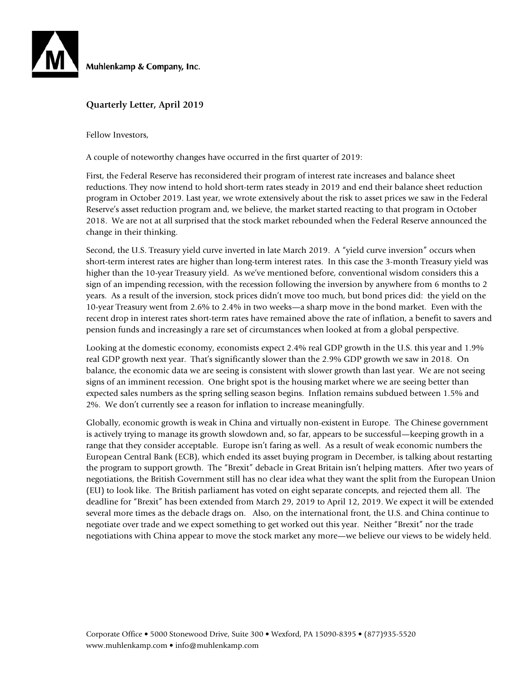

Muhlenkamp & Company, Inc.

#### **Quarterly Letter, April 2019**

Fellow Investors,

A couple of noteworthy changes have occurred in the first quarter of 2019:

First, the Federal Reserve has reconsidered their program of interest rate increases and balance sheet reductions. They now intend to hold short-term rates steady in 2019 and end their balance sheet reduction program in October 2019. Last year, we wrote extensively about the risk to asset prices we saw in the Federal Reserve's asset reduction program and, we believe, the market started reacting to that program in October 2018. We are not at all surprised that the stock market rebounded when the Federal Reserve announced the change in their thinking.

Second, the U.S. Treasury yield curve inverted in late March 2019. A "yield curve inversion" occurs when short-term interest rates are higher than long-term interest rates. In this case the 3-month Treasury yield was higher than the 10-year Treasury yield. As we've mentioned before, conventional wisdom considers this a sign of an impending recession, with the recession following the inversion by anywhere from 6 months to 2 years. As a result of the inversion, stock prices didn't move too much, but bond prices did: the yield on the 10-year Treasury went from 2.6% to 2.4% in two weeks—a sharp move in the bond market. Even with the recent drop in interest rates short-term rates have remained above the rate of inflation, a benefit to savers and pension funds and increasingly a rare set of circumstances when looked at from a global perspective.

Looking at the domestic economy, economists expect 2.4% real GDP growth in the U.S. this year and 1.9% real GDP growth next year. That's significantly slower than the 2.9% GDP growth we saw in 2018. On balance, the economic data we are seeing is consistent with slower growth than last year. We are not seeing signs of an imminent recession. One bright spot is the housing market where we are seeing better than expected sales numbers as the spring selling season begins. Inflation remains subdued between 1.5% and 2%. We don't currently see a reason for inflation to increase meaningfully.

Globally, economic growth is weak in China and virtually non-existent in Europe. The Chinese government is actively trying to manage its growth slowdown and, so far, appears to be successful—keeping growth in a range that they consider acceptable. Europe isn't faring as well. As a result of weak economic numbers the European Central Bank (ECB), which ended its asset buying program in December, is talking about restarting the program to support growth. The "Brexit" debacle in Great Britain isn't helping matters. After two years of negotiations, the British Government still has no clear idea what they want the split from the European Union (EU) to look like. The British parliament has voted on eight separate concepts, and rejected them all. The deadline for "Brexit" has been extended from March 29, 2019 to April 12, 2019. We expect it will be extended several more times as the debacle drags on. Also, on the international front, the U.S. and China continue to negotiate over trade and we expect something to get worked out this year. Neither "Brexit" nor the trade negotiations with China appear to move the stock market any more—we believe our views to be widely held.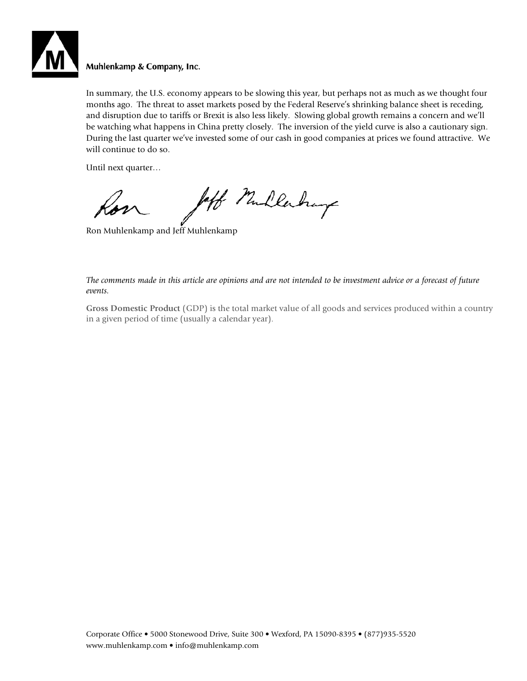

### Muhlenkamp & Company, Inc.

In summary, the U.S. economy appears to be slowing this year, but perhaps not as much as we thought four months ago. The threat to asset markets posed by the Federal Reserve's shrinking balance sheet is receding, and disruption due to tariffs or Brexit is also less likely. Slowing global growth remains a concern and we'll be watching what happens in China pretty closely. The inversion of the yield curve is also a cautionary sign. During the last quarter we've invested some of our cash in good companies at prices we found attractive. We will continue to do so.

Until next quarter…

Jeff Mullerhay

Ron Muhlenkamp and Jeff Muhlenkamp

*The comments made in this article are opinions and are not intended to be investment advice or a forecast of future events.* 

**Gross Domestic Product** (GDP) is the total market value of all goods and services produced within a country in a given period of time (usually a calendar year).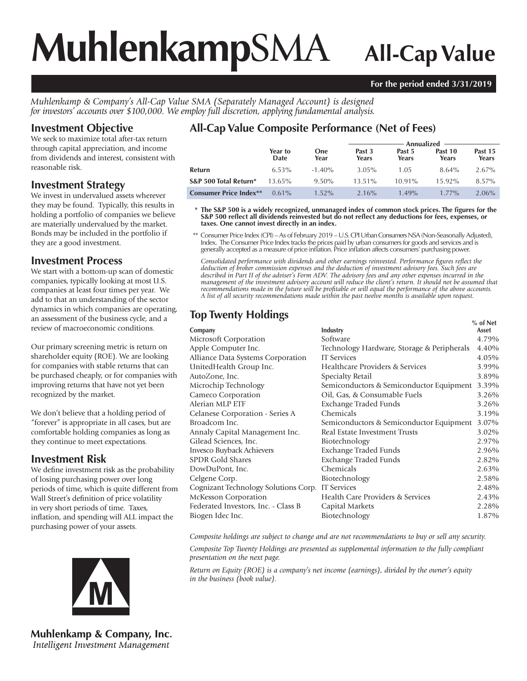# **Muhlenkamp**SMA **All-Cap Value**

#### **For the period ended 3/31/2019**

*Muhlenkamp & Company's All-Cap Value SMA (Separately Managed Account) is designed for investors' accounts over \$100,000. We employ full discretion, applying fundamental analysis.*

# **Investment Objective**

We seek to maximize total after-tax return through capital appreciation, and income from dividends and interest, consistent with reasonable risk.

## **Investment Strategy**

We invest in undervalued assets wherever they may be found. Typically, this results in holding a portfolio of companies we believe are materially undervalued by the market. Bonds may be included in the portfolio if they are a good investment.

## **Investment Process**

We start with a bottom-up scan of domestic companies, typically looking at most U.S. companies at least four times per year. We add to that an understanding of the sector dynamics in which companies are operating, an assessment of the business cycle, and a review of macroeconomic conditions.

Our primary screening metric is return on shareholder equity (ROE). We are looking for companies with stable returns that can be purchased cheaply, or for companies with improving returns that have not yet been recognized by the market.

We don't believe that a holding period of "forever" is appropriate in all cases, but are comfortable holding companies as long as they continue to meet expectations.

# **Investment Risk**

We define investment risk as the probability of losing purchasing power over long periods of time, which is quite different from Wall Street's definition of price volatility in very short periods of time. Taxes, inflation, and spending will ALL impact the purchasing power of your assets.



**Muhlenkamp & Company, Inc.** Intelligent Investment Management

# **All-Cap Value Composite Performance (Net of Fees)**

|                               |                 |                    | Annualized      |                 |                  |                  |  |
|-------------------------------|-----------------|--------------------|-----------------|-----------------|------------------|------------------|--|
|                               | Year to<br>Date | <b>One</b><br>Year | Past 3<br>Years | Past 5<br>Years | Past 10<br>Years | Past 15<br>Years |  |
| Refurn                        | $6.53\%$        | $-1.40\%$          | $3.05\%$        | 1.05            | $8.64\%$         | $2.67\%$         |  |
| S&P 500 Total Return*         | $13.65\%$       | $9.50\%$           | $13.51\%$       | $10.91\%$       | $15.92\%$        | 8.57%            |  |
| <b>Consumer Price Index**</b> | $0.61\%$        | $1.52\%$           | $2.16\%$        | $1.49\%$        | $1.77\%$         | 2.06%            |  |

 **\* The S&P 500 is a widely recognized, unmanaged index of common stock prices. The figures for the S&P 500 reflect all dividends reinvested but do not reflect any deductions for fees, expenses, or taxes. One cannot invest directly in an index.**

 \*\* Consumer Price Index (CPI) – As of February 2019 – U.S. CPI Urban Consumers NSA (Non-Seasonally Adjusted), Index. The Consumer Price Index tracks the prices paid by urban consumers for goods and services and is generally accepted as a measure of price inflation. Price inflation affects consumers' purchasing power.

*Consolidated performance with dividends and other earnings reinvested. Performance figures reflect the deduction of broker commission expenses and the deduction of investment advisory fees. Such fees are described in Part II of the adviser's Form ADV. The advisory fees and any other expenses incurred in the management of the investment advisory account will reduce the client's return. It should not be assumed that recommendations made in the future will be profitable or will equal the performance of the above accounts. A list of all security recommendations made within the past twelve months is available upon request.*

# **Top Twenty Holdings**

|                                                  |                                            | % of Net |
|--------------------------------------------------|--------------------------------------------|----------|
| Company                                          | Industry                                   | Asset    |
| Microsoft Corporation                            | Software                                   | 4.79%    |
| Apple Computer Inc.                              | Technology Hardware, Storage & Peripherals | 4.40%    |
| Alliance Data Systems Corporation                | <b>IT Services</b>                         | 4.05%    |
| UnitedHealth Group Inc.                          | Healthcare Providers & Services            | 3.99%    |
| AutoZone, Inc.                                   | Specialty Retail                           | 3.89%    |
| Microchip Technology                             | Semiconductors & Semiconductor Equipment   | 3.39%    |
| Cameco Corporation                               | Oil, Gas, & Consumable Fuels               | 3.26%    |
| Alerian MLP ETF                                  | Exchange Traded Funds                      | 3.26%    |
| Celanese Corporation - Series A                  | Chemicals                                  | 3.19%    |
| Broadcom Inc.                                    | Semiconductors & Semiconductor Equipment   | 3.07%    |
| Annaly Capital Management Inc.                   | Real Estate Investment Trusts              | 3.02%    |
| Gilead Sciences, Inc.                            | Biotechnology                              | 2.97%    |
| Invesco Buyback Achievers                        | Exchange Traded Funds                      | 2.96%    |
| <b>SPDR Gold Shares</b>                          | Exchange Traded Funds                      | 2.82%    |
| DowDuPont, Inc.                                  | Chemicals                                  | 2.63%    |
| Celgene Corp.                                    | Biotechnology                              | 2.58%    |
| Cognizant Technology Solutions Corp. IT Services |                                            | 2.48%    |
| McKesson Corporation                             | Health Care Providers & Services           | 2.43%    |
| Federated Investors, Inc. - Class B              | Capital Markets                            | 2.28%    |
| Biogen Idec Inc.                                 | Biotechnology                              | 1.87%    |
|                                                  |                                            |          |

*Composite holdings are subject to change and are not recommendations to buy or sell any security.*

*Composite Top Twenty Holdings are presented as supplemental information to the fully compliant presentation on the next page.*

*Return on Equity (ROE) is a company's net income (earnings), divided by the owner's equity in the business (book value).*